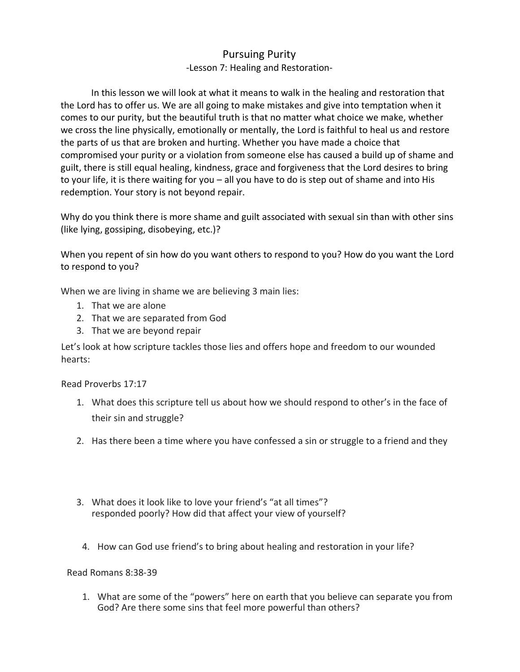## Pursuing Purity -Lesson 7: Healing and Restoration-

In this lesson we will look at what it means to walk in the healing and restoration that the Lord has to offer us. We are all going to make mistakes and give into temptation when it comes to our purity, but the beautiful truth is that no matter what choice we make, whether we cross the line physically, emotionally or mentally, the Lord is faithful to heal us and restore the parts of us that are broken and hurting. Whether you have made a choice that compromised your purity or a violation from someone else has caused a build up of shame and guilt, there is still equal healing, kindness, grace and forgiveness that the Lord desires to bring to your life, it is there waiting for you – all you have to do is step out of shame and into His redemption. Your story is not beyond repair.

Why do you think there is more shame and guilt associated with sexual sin than with other sins (like lying, gossiping, disobeying, etc.)?

When you repent of sin how do you want others to respond to you? How do you want the Lord to respond to you?

When we are living in shame we are believing 3 main lies:

- 1. That we are alone
- 2. That we are separated from God
- 3. That we are beyond repair

Let's look at how scripture tackles those lies and offers hope and freedom to our wounded hearts:

Read Proverbs 17:17

- 1. What does this scripture tell us about how we should respond to other's in the face of their sin and struggle?
- 2. Has there been a time where you have confessed a sin or struggle to a friend and they
- responded poorly? How did that affect your view of yourself? 3. What does it look like to love your friend's "at all times"?
- 4. How can God use friend's to bring about healing and restoration in your life?

### Read Romans 8:38-39

1. What are some of the "powers" here on earth that you believe can separate you from God? Are there some sins that feel more powerful than others?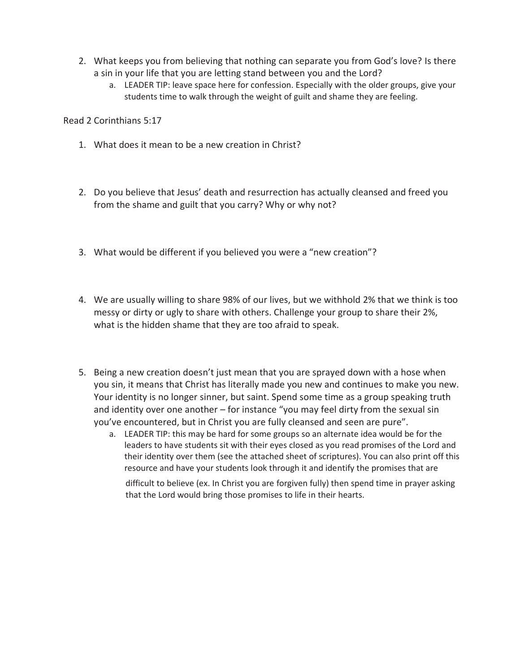- 2. What keeps you from believing that nothing can separate you from God's love? Is there a sin in your life that you are letting stand between you and the Lord?
	- a. LEADER TIP: leave space here for confession. Especially with the older groups, give your students time to walk through the weight of guilt and shame they are feeling.

Read 2 Corinthians 5:17

- 1. What does it mean to be a new creation in Christ?
- 2. Do you believe that Jesus' death and resurrection has actually cleansed and freed you from the shame and guilt that you carry? Why or why not?
- 3. What would be different if you believed you were a "new creation"?
- 4. We are usually willing to share 98% of our lives, but we withhold 2% that we think is too messy or dirty or ugly to share with others. Challenge your group to share their 2%, what is the hidden shame that they are too afraid to speak.
- 5. Being a new creation doesn't just mean that you are sprayed down with a hose when you sin, it means that Christ has literally made you new and continues to make you new. Your identity is no longer sinner, but saint. Spend some time as a group speaking truth and identity over one another – for instance "you may feel dirty from the sexual sin you've encountered, but in Christ you are fully cleansed and seen are pure".
	- a. LEADER TIP: this may be hard for some groups so an alternate idea would be for the leaders to have students sit with their eyes closed as you read promises of the Lord and their identity over them (see the attached sheet of scriptures). You can also print off this resource and have your students look through it and identify the promises that are

difficult to believe (ex. In Christ you are forgiven fully) then spend time in prayer asking that the Lord would bring those promises to life in their hearts.